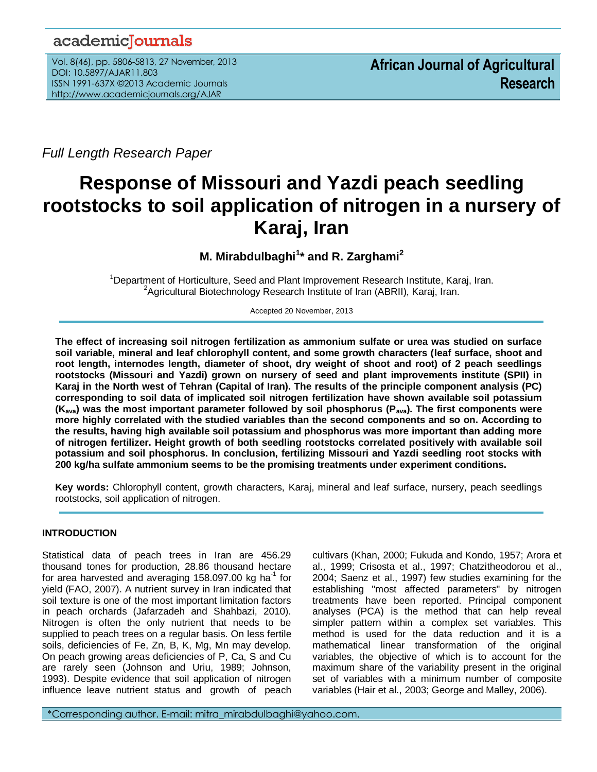## academicJournals

Vol. 8(46), pp. 5806-5813, 27 November, 2013 DOI: 10.5897/AJAR11.803 ISSN 1991-637X ©2013 Academic Journals http://www.academicjournals.org/AJAR

*Full Length Research Paper*

# **Response of Missouri and Yazdi peach seedling rootstocks to soil application of nitrogen in a nursery of Karaj, Iran**

**M. Mirabdulbaghi<sup>1</sup> \* and R. Zarghami<sup>2</sup>**

<sup>1</sup>Department of Horticulture, Seed and Plant Improvement Research Institute, Karaj, Iran. <sup>2</sup>Agricultural Biotechnology Research Institute of Iran (ABRII), Karaj, Iran.

Accepted 20 November, 2013

**The effect of increasing soil nitrogen fertilization as ammonium sulfate or urea was studied on surface soil variable, mineral and leaf chlorophyll content, and some growth characters (leaf surface, shoot and root length, internodes length, diameter of shoot, dry weight of shoot and root) of 2 peach seedlings rootstocks (Missouri and Yazdi) grown on nursery of seed and plant improvements institute (SPII) in Karaj in the North west of Tehran (Capital of Iran). The results of the principle component analysis (PC) corresponding to soil data of implicated soil nitrogen fertilization have shown available soil potassium (Kava) was the most important parameter followed by soil phosphorus (Pava). The first components were more highly correlated with the studied variables than the second components and so on. According to the results, having high available soil potassium and phosphorus was more important than adding more of nitrogen fertilizer. Height growth of both seedling rootstocks correlated positively with available soil potassium and soil phosphorus. In conclusion, fertilizing Missouri and Yazdi seedling root stocks with 200 kg/ha sulfate ammonium seems to be the promising treatments under experiment conditions.** 

**Key words:** Chlorophyll content, growth characters, Karaj, mineral and leaf surface, nursery, peach seedlings rootstocks, soil application of nitrogen.

## **INTRODUCTION**

Statistical data of peach trees in Iran are 456.29 thousand tones for production, 28.86 thousand hectare for area harvested and averaging 158.097.00 kg ha<sup>-1</sup> for yield (FAO, 2007). A nutrient survey in Iran indicated that soil texture is one of the most important limitation factors in peach orchards (Jafarzadeh and Shahbazi, 2010). Nitrogen is often the only nutrient that needs to be supplied to peach trees on a regular basis. On less fertile soils, deficiencies of Fe, Zn, B, K, Mg, Mn may develop. On peach growing areas deficiencies of P, Ca, S and Cu are rarely seen (Johnson and Uriu, 1989; Johnson, 1993). Despite evidence that soil application of nitrogen influence leave nutrient status and growth of peach

cultivars (Khan, 2000; Fukuda and Kondo, 1957; Arora et al., 1999; Crisosta et al., 1997; Chatzitheodorou et al., 2004; Saenz et al., 1997) few studies examining for the establishing "most affected parameters" by nitrogen treatments have been reported. Principal component analyses (PCA) is the method that can help reveal simpler pattern within a complex set variables. This method is used for the data reduction and it is a mathematical linear transformation of the original variables, the objective of which is to account for the maximum share of the variability present in the original set of variables with a minimum number of composite variables (Hair et al., 2003; George and Malley, 2006).

\*Corresponding author. E-mail: mitra\_mirabdulbaghi@yahoo.com.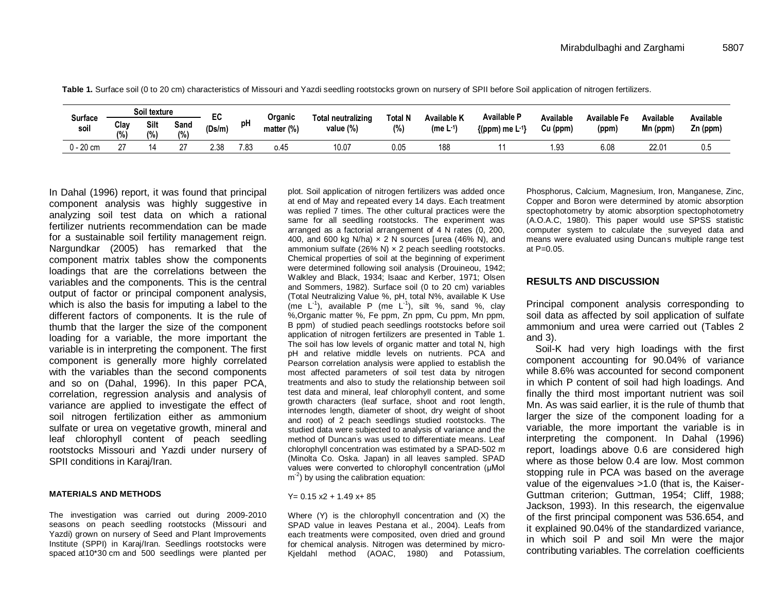|                        |            | Soil texture |              |                     |      | Organic    | Total neutralizing |                 | <b>Available K</b>           | <b>Available P</b>     | Available | <b>Available Fe</b> | Available | Available  |  |  |  |
|------------------------|------------|--------------|--------------|---------------------|------|------------|--------------------|-----------------|------------------------------|------------------------|-----------|---------------------|-----------|------------|--|--|--|
| <b>Surface</b><br>soil | Clay<br>(% | Silt<br>(% ) | Sand<br>(% ) | <b>cv</b><br>(Ds/m) | pH   | matter (%) | value (%)          | Total N<br>(% ) | (me $\mathsf{L}^{\text{-}1}$ | $\{(ppm) me L^{-1}\}\$ | Cu (ppm)  | (ppm)               | Mn (ppm)  | $Zn$ (ppm) |  |  |  |
| $0 - 20$ cm            | $\sim$     | ıд           |              | ว วด                | 7.83 | o.45       | 10.07              | 0.05            | 188                          |                        | 1.93      | 6.08                | 22.01     | 0.5        |  |  |  |

**Table 1.** Surface soil (0 to 20 cm) characteristics of Missouri and Yazdi seedling rootstocks grown on nursery of SPII before Soil application of nitrogen fertilizers.

In Dahal (1996) report, it was found that principal component analysis was highly suggestive in analyzing soil test data on which a rational fertilizer nutrients recommendation can be made for a sustainable soil fertility management reign. Nargundkar (2005) has remarked that the component matrix tables show the components loadings that are the correlations between the variables and the components. This is the central output of factor or principal component analysis, which is also the basis for imputing a label to the different factors of components. It is the rule of thumb that the larger the size of the component loading for a variable, the more important the variable is in interpreting the component. The first component is generally more highly correlated with the variables than the second components and so on (Dahal, 1996). In this paper PCA, correlation, regression analysis and analysis of variance are applied to investigate the effect of soil nitrogen fertilization either as ammonium sulfate or urea on vegetative growth, mineral and leaf chlorophyll content of peach seedling rootstocks Missouri and Yazdi under nursery of SPII conditions in Karaj/Iran.

#### **MATERIALS AND METHODS**

The investigation was carried out during 2009-2010 seasons on peach seedling rootstocks (Missouri and Yazdi) grown on nursery of Seed and Plant Improvements Institute (SPPI) in Karaj/Iran. Seedlings rootstocks were spaced at10\*30 cm and 500 seedlings were planted per

plot. Soil application of nitrogen fertilizers was added once at end of May and repeated every 14 days. Each treatment was replied 7 times. The other cultural practices were the same for all seedling rootstocks. The experiment was arranged as a factorial arrangement of 4 N rates (0, 200, 400, and 600 kg N/ha)  $\times$  2 N sources [urea (46% N), and ammonium sulfate (26% N)  $\times$  2 peach seedling rootstocks. Chemical properties of soil at the beginning of experiment were determined following soil analysis (Drouineou, 1942; Walkley and Black, 1934; Isaac and Kerber, 1971; Olsen and Sommers, 1982). Surface soil (0 to 20 cm) variables (Total Neutralizing Value %, pH, total N%, available K Use (me  $L^{-1}$ ), available P (me  $L^{-1}$ ), silt %, sand %, clay %,Organic matter %, Fe ppm, Zn ppm, Cu ppm, Mn ppm, B ppm) of studied peach seedlings rootstocks before soil application of nitrogen fertilizers are presented in Table 1. The soil has low levels of organic matter and total N, high pH and relative middle levels on nutrients. PCA and Pearson correlation analysis were applied to establish the most affected parameters of soil test data by nitrogen treatments and also to study the relationship between soil test data and mineral, leaf chlorophyll content, and some growth characters (leaf surface, shoot and root length, internodes length, diameter of shoot, dry weight of shoot and root) of 2 peach seedlings studied rootstocks. The studied data were subjected to analysis of variance and the method of Duncan' s was used to differentiate means. Leaf chlorophyll concentration was estimated by a SPAD-502 m (Minolta Co. Oska. Japan) in all leaves sampled. SPAD values were converted to chlorophyll concentration (μMol m<sup>-2</sup>) by using the calibration equation:

#### $Y = 0.15$  x2 + 1.49 x + 85

Where (Y) is the chlorophyll concentration and (X) the SPAD value in leaves Pestana et al., 2004). Leafs from each treatments were composited, oven dried and ground for chemical analysis. Nitrogen was determined by micro-Kjeldahl method (AOAC, 1980) and Potassium, Phosphorus, Calcium, Magnesium, Iron, Manganese, Zinc, Copper and Boron were determined by atomic absorption spectophotometry by atomic absorption spectophotometry (A.O.A.C, 1980). This paper would use SPSS statistic computer system to calculate the surveyed data and means were evaluated using Duncan' s multiple range test at  $P = 0.05$ .

#### **RESULTS AND DISCUSSION**

Principal component analysis corresponding to soil data as affected by soil application of sulfate ammonium and urea were carried out (Tables 2 and 3).

Soil-K had very high loadings with the first component accounting for 90.04% of variance while 8.6% was accounted for second component in which P content of soil had high loadings. And finally the third most important nutrient was soil Mn. As was said earlier, it is the rule of thumb that larger the size of the component loading for a variable, the more important the variable is in interpreting the component. In Dahal (1996) report, loadings above 0.6 are considered high where as those below 0.4 are low. Most common stopping rule in PCA was based on the average value of the eigenvalues >1.0 (that is, the Kaiser-Guttman criterion; Guttman, 1954; Cliff, 1988; Jackson, 1993). In this research, the eigenvalue of the first principal component was 536.654, and it explained 90.04% of the standardized variance, in which soil P and soil Mn were the major contributing variables. The correlation coefficients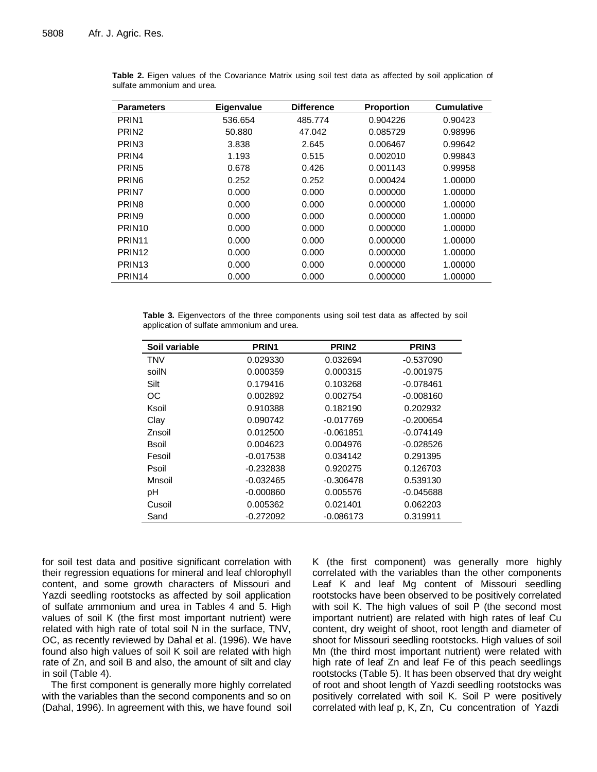| <b>Parameters</b>  | Eigenvalue | <b>Difference</b> | <b>Proportion</b> | <b>Cumulative</b> |
|--------------------|------------|-------------------|-------------------|-------------------|
| PRIN <sub>1</sub>  | 536.654    | 485.774           | 0.904226          | 0.90423           |
| PRIN <sub>2</sub>  | 50.880     | 47.042            | 0.085729          | 0.98996           |
| PRIN <sub>3</sub>  | 3.838      | 2.645             | 0.006467          | 0.99642           |
| PRIN4              | 1.193      | 0.515             | 0.002010          | 0.99843           |
| PRIN <sub>5</sub>  | 0.678      | 0.426             | 0.001143          | 0.99958           |
| PRIN <sub>6</sub>  | 0.252      | 0.252             | 0.000424          | 1.00000           |
| PRIN7              | 0.000      | 0.000             | 0.000000          | 1.00000           |
| PRIN <sub>8</sub>  | 0.000      | 0.000             | 0.000000          | 1.00000           |
| PRIN <sub>9</sub>  | 0.000      | 0.000             | 0.000000          | 1.00000           |
| PRIN <sub>10</sub> | 0.000      | 0.000             | 0.000000          | 1.00000           |
| PRIN <sub>11</sub> | 0.000      | 0.000             | 0.000000          | 1.00000           |
| PRIN <sub>12</sub> | 0.000      | 0.000             | 0.000000          | 1.00000           |
| PRIN <sub>13</sub> | 0.000      | 0.000             | 0.000000          | 1.00000           |
| PRIN <sub>14</sub> | 0.000      | 0.000             | 0.000000          | 1.00000           |
|                    |            |                   |                   |                   |

**Table 2.** Eigen values of the Covariance Matrix using soil test data as affected by soil application of sulfate ammonium and urea.

**Table 3.** Eigenvectors of the three components using soil test data as affected by soil application of sulfate ammonium and urea.

| Soil variable | PRIN <sub>1</sub> | PRIN <sub>2</sub> | PRIN <sub>3</sub> |
|---------------|-------------------|-------------------|-------------------|
| <b>TNV</b>    | 0.029330          | 0.032694          | $-0.537090$       |
| soilN         | 0.000359          | 0.000315          | $-0.001975$       |
| Silt          | 0.179416          | 0.103268          | $-0.078461$       |
| OC            | 0.002892          | 0.002754          | $-0.008160$       |
| Ksoil         | 0.910388          | 0.182190          | 0.202932          |
| Clay          | 0.090742          | $-0.017769$       | $-0.200654$       |
| Znsoil        | 0.012500          | $-0.061851$       | $-0.074149$       |
| Bsoil         | 0.004623          | 0.004976          | $-0.028526$       |
| Fesoil        | $-0.017538$       | 0.034142          | 0.291395          |
| Psoil         | $-0.232838$       | 0.920275          | 0.126703          |
| Mnsoil        | $-0.032465$       | $-0.306478$       | 0.539130          |
| рH            | $-0.000860$       | 0.005576          | $-0.045688$       |
| Cusoil        | 0.005362          | 0.021401          | 0.062203          |
| Sand          | $-0.272092$       | $-0.086173$       | 0.319911          |

for soil test data and positive significant correlation with their regression equations for mineral and leaf chlorophyll content, and some growth characters of Missouri and Yazdi seedling rootstocks as affected by soil application of sulfate ammonium and urea in Tables 4 and 5. High values of soil K (the first most important nutrient) were related with high rate of total soil N in the surface, TNV, OC, as recently reviewed by Dahal et al. (1996). We have found also high values of soil K soil are related with high rate of Zn, and soil B and also, the amount of silt and clay in soil (Table 4).

The first component is generally more highly correlated with the variables than the second components and so on (Dahal, 1996). In agreement with this, we have found soil K (the first component) was generally more highly correlated with the variables than the other components Leaf K and leaf Mg content of Missouri seedling rootstocks have been observed to be positively correlated with soil K. The high values of soil P (the second most important nutrient) are related with high rates of leaf Cu content, dry weight of shoot, root length and diameter of shoot for Missouri seedling rootstocks. High values of soil Mn (the third most important nutrient) were related with high rate of leaf Zn and leaf Fe of this peach seedlings rootstocks (Table 5). It has been observed that dry weight of root and shoot length of Yazdi seedling rootstocks was positively correlated with soil K. Soil P were positively correlated with leaf p, K, Zn, Cu concentration of Yazdi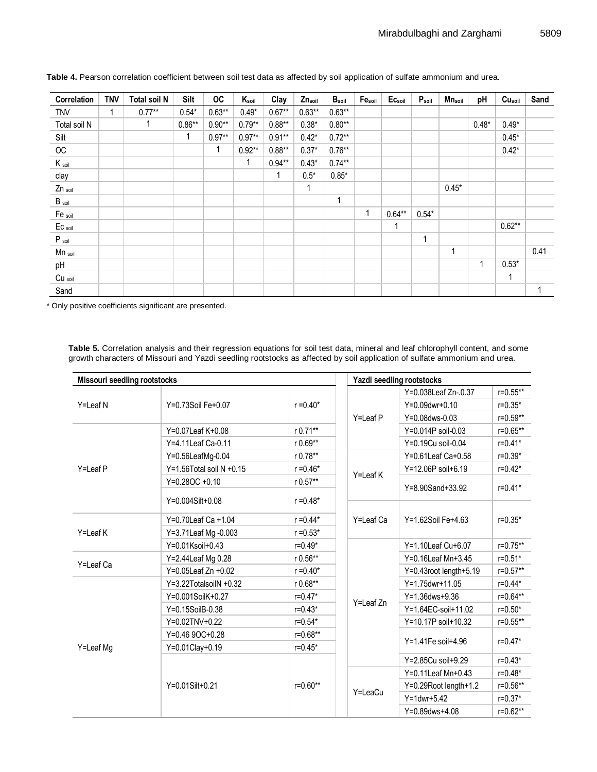| Correlation       | <b>TNV</b> | <b>Total soil N</b> | Silt     | <b>OC</b> | $K_{\text{soil}}$ | Clay         | Znsoil   | $B_{\rm soil}$ | $\mathsf{Fe}_\mathsf{soil}$ | Ec <sub>soil</sub> | $P_{\text{soil}}$ | Mnsoil  | рH      | Cu <sub>soil</sub> | Sand |
|-------------------|------------|---------------------|----------|-----------|-------------------|--------------|----------|----------------|-----------------------------|--------------------|-------------------|---------|---------|--------------------|------|
| <b>TNV</b>        |            | $0.77***$           | $0.54*$  | $0.63**$  | $0.49*$           | $0.67**$     | $0.63**$ | $0.63**$       |                             |                    |                   |         |         |                    |      |
| Total soil N      |            |                     | $0.86**$ | $0.90**$  | $0.79**$          | $0.88**$     | $0.38*$  | $0.80**$       |                             |                    |                   |         | $0.48*$ | $0.49*$            |      |
| Silt              |            |                     | 1        | $0.97**$  | $0.97**$          | $0.91**$     | $0.42*$  | $0.72**$       |                             |                    |                   |         |         | $0.45*$            |      |
| OC                |            |                     |          | 1         | $0.92**$          | $0.88**$     | $0.37*$  | $0.76**$       |                             |                    |                   |         |         | $0.42*$            |      |
| $K_{\text{sol}}$  |            |                     |          |           | 1                 | $0.94**$     | $0.43*$  | $0.74***$      |                             |                    |                   |         |         |                    |      |
| clay              |            |                     |          |           |                   | $\mathbf{1}$ | $0.5*$   | $0.85*$        |                             |                    |                   |         |         |                    |      |
| Zn soil           |            |                     |          |           |                   |              | 1        |                |                             |                    |                   | $0.45*$ |         |                    |      |
| B <sub>soil</sub> |            |                     |          |           |                   |              |          |                |                             |                    |                   |         |         |                    |      |
| Fe soil           |            |                     |          |           |                   |              |          |                | 1                           | $0.64***$          | $0.54*$           |         |         |                    |      |
| Ec soil           |            |                     |          |           |                   |              |          |                |                             | 1                  |                   |         |         | $0.62**$           |      |
| $P_{sol}$         |            |                     |          |           |                   |              |          |                |                             |                    | 1                 |         |         |                    |      |
| Mn soil           |            |                     |          |           |                   |              |          |                |                             |                    |                   | 1       |         |                    | 0.41 |
| pH                |            |                     |          |           |                   |              |          |                |                             |                    |                   |         | 1       | $0.53*$            |      |
| Cu soil           |            |                     |          |           |                   |              |          |                |                             |                    |                   |         |         | 1                  |      |
| Sand              |            |                     |          |           |                   |              |          |                |                             |                    |                   |         |         |                    |      |

**Table 4.** Pearson correlation coefficient between soil test data as affected by soil application of sulfate ammonium and urea.

\* Only positive coefficients significant are presented.

**Table 5.** Correlation analysis and their regression equations for soil test data, mineral and leaf chlorophyll content, and some growth characters of Missouri and Yazdi seedling rootstocks as affected by soil application of sulfate ammonium and urea.

| <b>Missouri seedling rootstocks</b> |                            |              |           | Yazdi seedling rootstocks |               |  |  |  |  |  |  |
|-------------------------------------|----------------------------|--------------|-----------|---------------------------|---------------|--|--|--|--|--|--|
|                                     |                            |              |           | Y=0.038Leaf Zn-.0.37      | $r = 0.55$ ** |  |  |  |  |  |  |
| Y=Leaf N                            | Y=0.73Soil Fe+0.07         | $r = 0.40*$  |           | $Y=0.09$ dwr+0.10         | $r = 0.35*$   |  |  |  |  |  |  |
|                                     |                            |              | Y=Leaf P  | Y=0.08dws-0.03            | $r = 0.59**$  |  |  |  |  |  |  |
|                                     | Y=0.07Leaf K+0.08          | r 0.71**     |           | Y=0.014P soil-0.03        | $r = 0.65**$  |  |  |  |  |  |  |
|                                     | Y=4.11Leaf Ca-0.11         | $r 0.69**$   |           | Y=0.19Cu soil-0.04        | $r = 0.41*$   |  |  |  |  |  |  |
|                                     | Y=0.56LeafMg-0.04          | r 0.78**     |           | $Y=0.61$ Leaf Ca+0.58     | $r = 0.39*$   |  |  |  |  |  |  |
| Y=Leaf P                            | Y=1.56Total soil N $+0.15$ | $r = 0.46*$  |           | Y=12.06P soil+6.19        | $r = 0.42*$   |  |  |  |  |  |  |
|                                     | Y=0.28OC +0.10             | r 0.57**     | Y=Leaf K  | Y=8.90Sand+33.92          | $r = 0.41*$   |  |  |  |  |  |  |
|                                     | Y=0.004Silt+0.08           | $r = 0.48*$  |           |                           |               |  |  |  |  |  |  |
|                                     | Y=0.70Leaf Ca +1.04        | $r = 0.44*$  | Y=Leaf Ca | Y=1.62Soil Fe+4.63        | $r = 0.35*$   |  |  |  |  |  |  |
| Y=Leaf K                            | Y=3.71Leaf Mg -0.003       | $r = 0.53*$  |           |                           |               |  |  |  |  |  |  |
|                                     | Y=0.01Ksoil+0.43           | $r = 0.49*$  |           | Y=1.10Leaf Cu+6.07        | $r = 0.75**$  |  |  |  |  |  |  |
|                                     | Y=2.44Leaf Mg 0.28         | r 0.56**     |           | Y=0.16Leaf Mn+3.45        | $r = 0.51*$   |  |  |  |  |  |  |
| Y=Leaf Ca                           | $Y=0.05$ Leaf Zn $+0.02$   | $r = 0.40*$  |           | $Y=0.43$ root length+5.19 | $r = 0.57**$  |  |  |  |  |  |  |
|                                     | $Y=3.22TotalsoilN +0.32$   | $r 0.68***$  |           | Y=1.75dwr+11.05           | $r = 0.44*$   |  |  |  |  |  |  |
|                                     | Y=0.001SoilK+0.27          | $r = 0.47*$  |           | $Y = 1.36$ dws+9.36       | $r = 0.64**$  |  |  |  |  |  |  |
|                                     | Y=0.15SoilB-0.38           | $r = 0.43*$  | Y=Leaf Zn | Y=1.64EC-soil+11.02       | $r = 0.50*$   |  |  |  |  |  |  |
|                                     | Y=0.02TNV+0.22             | $r = 0.54*$  |           | Y=10.17P soil+10.32       | $r = 0.55$ ** |  |  |  |  |  |  |
|                                     | $Y=0.469OC+0.28$           | $r = 0.68**$ |           | Y=1.41Fe soil+4.96        |               |  |  |  |  |  |  |
| Y=Leaf Mg                           | Y=0.01Clay+0.19            | $r = 0.45*$  |           |                           | $r = 0.47*$   |  |  |  |  |  |  |
|                                     |                            |              |           | Y=2.85Cu soil+9.29        | $r = 0.43*$   |  |  |  |  |  |  |
|                                     |                            |              |           | Y=0.11Leaf Mn+0.43        | $r = 0.48*$   |  |  |  |  |  |  |
|                                     | Y=0.01Silt+0.21            | $r = 0.60**$ |           | Y=0.29Root length+1.2     | $r = 0.56**$  |  |  |  |  |  |  |
|                                     |                            |              | Y=LeaCu   | $Y = 1$ dwr+5.42          | $r = 0.37*$   |  |  |  |  |  |  |
|                                     |                            |              |           | Y=0.89dws+4.08            | $r=0.62**$    |  |  |  |  |  |  |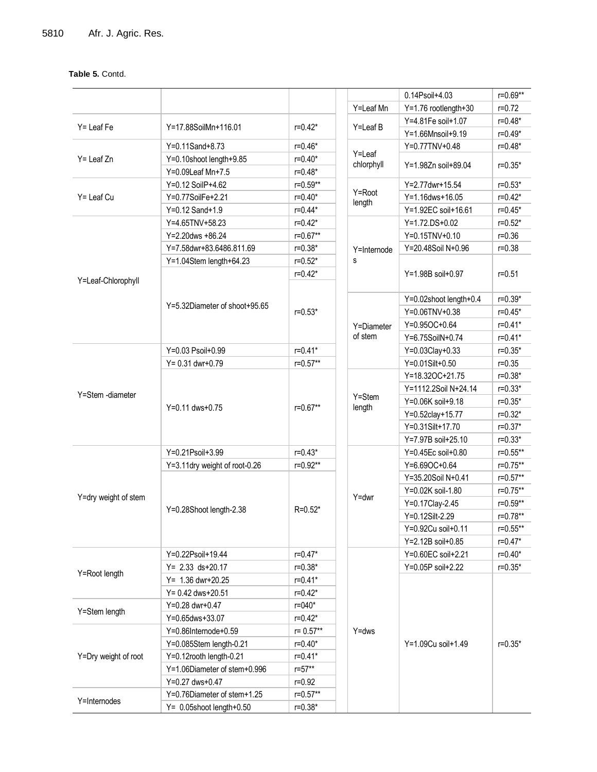## **Table 5.** Contd.

|                      |                               |              |             | 0.14Psoil+4.03         | $r = 0.69**$ |
|----------------------|-------------------------------|--------------|-------------|------------------------|--------------|
|                      |                               |              | Y=Leaf Mn   | Y=1.76 rootlength+30   | $r = 0.72$   |
|                      |                               |              |             | Y=4.81Fe soil+1.07     | $r = 0.48*$  |
| Y= Leaf Fe           | Y=17.88SoilMn+116.01          | $r = 0.42*$  | Y=Leaf B    | Y=1.66Mnsoil+9.19      | $r = 0.49*$  |
|                      | Y=0.11Sand+8.73               | $r = 0.46*$  |             | Y=0.77TNV+0.48         | $r = 0.48*$  |
| $Y =$ Leaf $Zn$      | Y=0.10shoot length+9.85       | $r = 0.40*$  | Y=Leaf      |                        |              |
|                      | Y=0.09Leaf Mn+7.5             | $r = 0.48*$  | chlorphyll  | Y=1.98Zn soil+89.04    | $r = 0.35*$  |
|                      | Y=0.12 SoilP+4.62             | $r = 0.59**$ |             | Y=2.77dwr+15.54        | $r = 0.53*$  |
| $Y =$ Leaf Cu        | Y=0.77SoilFe+2.21             | $r = 0.40*$  | Y=Root      | Y=1.16dws+16.05        | $r = 0.42*$  |
|                      | Y=0.12 Sand+1.9               | $r = 0.44*$  | length      | Y=1.92EC soil+16.61    | $r = 0.45*$  |
|                      | Y=4.65TNV+58.23               | $r = 0.42*$  |             | Y=1.72.DS+0.02         | $r = 0.52*$  |
|                      | Y=2.20dws +86.24              | $r = 0.67**$ |             | Y=0.15TNV+0.10         | $r = 0.36$   |
|                      | Y=7.58dwr+83.6486.811.69      | $r = 0.38*$  | Y=Internode | Y=20.48Soil N+0.96     | $r = 0.38$   |
|                      | Y=1.04Stem length+64.23       | $r = 0.52*$  | s           |                        |              |
|                      |                               | $r = 0.42*$  |             | Y=1.98B soil+0.97      | $r = 0.51$   |
| Y=Leaf-Chlorophyll   |                               |              |             |                        |              |
|                      |                               |              |             | Y=0.02shoot length+0.4 | $r = 0.39*$  |
|                      | Y=5.32Diameter of shoot+95.65 | $r = 0.53*$  |             | Y=0.06TNV+0.38         | $r = 0.45*$  |
|                      |                               |              | Y=Diameter  | Y=0.95OC+0.64          | $r = 0.41*$  |
|                      |                               |              | of stem     | Y=6.75SoilN+0.74       | $r = 0.41*$  |
|                      | Y=0.03 Psoil+0.99             | $r = 0.41*$  |             | Y=0.03Clay+0.33        | $r = 0.35*$  |
|                      | $Y = 0.31$ dwr+0.79           | $r = 0.57**$ |             | Y=0.01Silt+0.50        | $r = 0.35$   |
|                      |                               |              |             | Y=18.32OC+21.75        | $r = 0.38*$  |
|                      |                               |              |             | Y=1112.2Soil N+24.14   | $r = 0.33*$  |
| Y=Stem -diameter     |                               |              | Y=Stem      | Y=0.06K soil+9.18      | $r = 0.35*$  |
|                      | Y=0.11 dws+0.75               | $r = 0.67**$ | length      | Y=0.52clay+15.77       | $r = 0.32*$  |
|                      |                               |              |             | Y=0.31Silt+17.70       | $r = 0.37*$  |
|                      |                               |              |             | Y=7.97B soil+25.10     | $r = 0.33*$  |
|                      | Y=0.21Psoil+3.99              | $r = 0.43*$  |             | Y=0.45Ec soil+0.80     | $r = 0.55**$ |
|                      | Y=3.11dry weight of root-0.26 | $r = 0.92**$ |             | Y=6.69OC+0.64          | $r = 0.75**$ |
|                      |                               |              |             | Y=35.20Soil N+0.41     | $r = 0.57**$ |
|                      |                               |              |             | Y=0.02K soil-1.80      | $r = 0.75**$ |
| Y=dry weight of stem |                               |              | $Y = dwr$   | Y=0.17Clay-2.45        | $r = 0.59**$ |
|                      | Y=0.28Shoot length-2.38       | $R = 0.52*$  |             | Y=0.12Silt-2.29        | r=0.78**     |
|                      |                               |              |             | Y=0.92Cu soil+0.11     | $r = 0.55**$ |
|                      |                               |              |             | Y=2.12B soil+0.85      | $r = 0.47*$  |
|                      | Y=0.22Psoil+19.44             | $r = 0.47*$  |             | Y=0.60EC soil+2.21     | $r = 0.40*$  |
|                      | $Y = 2.33$ ds+20.17           | $r = 0.38*$  |             | Y=0.05P soil+2.22      | $r = 0.35*$  |
| Y=Root length        | $Y = 1.36$ dwr+20.25          | $r = 0.41*$  |             |                        |              |
|                      | $Y = 0.42$ dws+20.51          | $r = 0.42*$  |             |                        |              |
|                      | Y=0.28 dwr+0.47               | r=040*       |             |                        |              |
| Y=Stem length        | Y=0.65dws+33.07               | $r = 0.42*$  |             |                        |              |
|                      | Y=0.86Internode+0.59          | $r = 0.57**$ | $Y = dws$   |                        |              |
|                      | Y=0.085Stem length-0.21       | $r = 0.40*$  |             | Y=1.09Cu soil+1.49     | $r = 0.35*$  |
| Y=Dry weight of root | Y=0.12rooth length-0.21       | $r = 0.41*$  |             |                        |              |
|                      | Y=1.06Diameter of stem+0.996  | $r = 57**$   |             |                        |              |
|                      | Y=0.27 dws+0.47               | $r = 0.92$   |             |                        |              |
|                      | Y=0.76Diameter of stem+1.25   | $r = 0.57**$ |             |                        |              |
| Y=Internodes         | $Y = 0.05$ shoot length+0.50  | $r = 0.38*$  |             |                        |              |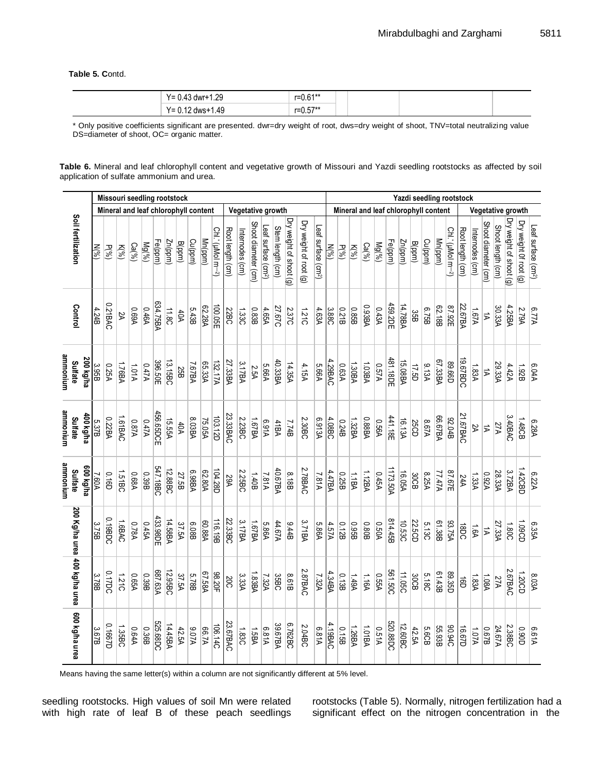**Table 5. C**ontd.

| 1.29<br>$Y = 0.$<br>dwr+1<br>14. | $C$ <sub>1</sub> **<br>r=0.61 |
|----------------------------------|-------------------------------|
| l.49<br>Y= 0.<br>dws+            | <b>E7**</b><br>$r = 0.57$     |

\* Only positive coefficients significant are presented. dwr=dry weight of root, dws=dry weight of shoot, TNV=total neutralizing value DS=diameter of shoot, OC= organic matter.

**Table 6.** Mineral and leaf chlorophyll content and vegetative growth of Missouri and Yazdi seedling rootstocks as affected by soil application of sulfate ammonium and urea.

|                               |           |         | Missouri seedling rootstock |           |                    |            |                |               |        |                                      |         |                               |                  |                   |                     |                                |                  |                         |                        |                                 | Yazdi seedling rootstock<br>Mineral and leaf chlorophyll content |                          |              |              |                   |                |               |             |         |                |                               |                  |                 |                      |                   |                        |                        |                                 |
|-------------------------------|-----------|---------|-----------------------------|-----------|--------------------|------------|----------------|---------------|--------|--------------------------------------|---------|-------------------------------|------------------|-------------------|---------------------|--------------------------------|------------------|-------------------------|------------------------|---------------------------------|------------------------------------------------------------------|--------------------------|--------------|--------------|-------------------|----------------|---------------|-------------|---------|----------------|-------------------------------|------------------|-----------------|----------------------|-------------------|------------------------|------------------------|---------------------------------|
|                               |           |         |                             |           |                    |            |                |               |        | Mineral and leaf chlorophyll content |         |                               |                  | Vegetative growth |                     |                                |                  |                         |                        |                                 |                                                                  |                          |              |              |                   |                |               |             |         |                |                               |                  |                 |                      |                   | Vegetative growth      |                        |                                 |
| Soil fertilization            |           | $N(\%)$ | P(%)                        | $K^{(o)}$ | Ca <sup>(66)</sup> | Mg(%)      | Fe(ppm)        | Zn(ppm)       | B(ppm) | Cu(ppm)                              | Mn(ppm) | Chl.' (uMol m- <sup>2</sup> ) | Root length (cm) | Internodes (cm)   | Shoot diameter (cm) | eaf surface (cm <sup>2</sup> ) | Stem length (cm) | Dry weight of shoot (g) | Dry weight of root (g) | Leaf surface (cm <sup>2</sup> ) | $N(\%)$                                                          | P(0)                     | $K^{(6)}$    | $Ca(^{96})$  | Mg(%)             | Fe(ppm)        | Zn(ppm)       | B(ppm)      | Cu(ppm) | Mn(ppm)        | Chi.* (µMol m- <sup>2</sup> ) | Root length (cm) | Internodes (cm) | Shoot diameter (cm)  | Shoot length (cm) | ry weight of shoot (g) | Dry weight Of root (g) | Leaf surface (cm <sup>2</sup> ) |
| Control                       |           | 4.24B   | 0.21BAC                     | У         | A9.0               | 0.46A      | 634.75BA       | 11.8C         | 40A    | 5.43B                                | 62.28A  | 100.05E                       | 22BC             | 1.330             | 0.83B               | 4.65A                          | 27.67C           | 2.37C                   | 1.210                  | 4.63A                           | 3.88C                                                            | 0.21B                    | 0.85B        | 0.93BA       | A\$4.0            | 459.2DE        | 14.78BA       | 35B         | 8.75B   | 62.18B         | 87.92E                        | 22.67BA          | <b>A79.1</b>    | $\overrightarrow{v}$ | 30.33A            | 4.25BA                 | 2.79A                  | 6.77A                           |
| munonium<br><b>Sulfate</b>    | 200 kg/ha | 3.95B   | 0.25A                       | 1.76BA    | <b>101A</b>        | A747A      | 396.50E        | 13.15BC       | 25B    | 7.67BA                               | 65.33A  | 132.17A                       | 27.33BA          | 3.17BA            | 2.5A                | 5.66A                          | 40.33BA          | 14.35A                  | 4.15A                  | 5.66A                           | 4.29BAC                                                          | 0.63A                    | 1.30BA       | 1.03BA       | A76.0             | 481.18DE       | 15.08BA       | 17.5D       | 9.13A   | 67.33BA        | <b>G99'68</b>                 | 19.67BDC         | 1.83A           | $\overrightarrow{v}$ | 29.33A            | 4.42A                  | 1.92B                  | A40.9                           |
| munomma<br>Sulfate            | d00 kg/ha | 5.37B   | 0.22BA                      | 1.61BAC   | A78.0              | <b>A7A</b> | 456.65DCE      | <b>15.55A</b> | 40A    | 8.03BA                               | 75.05A  | 103.12D                       | 23.33BAC         | 2.23BC            | <b>AB73.1</b>       | A19.9                          | 41BA             | <b>Z74B</b>             | 2.30BC                 | 6.913A                          | 4.08BC                                                           | <b>B</b> <sub>24</sub> B | 1.32BA       | 0.88BA       | A <sub>95.0</sub> | 441.18E        | 16.13A        | <b>25CD</b> | A70.8   | <b>66.67BA</b> | 82.04B                        | 21.67BAC         | R               | $\overrightarrow{v}$ | 27A               | 3.40BAC                | 1.48CB                 | 6.28A                           |
| mmonium<br><b>Sulfate</b>     | ey/by 009 | 7.60A   | <b>Q.16D</b>                | 1.51BC    | 0.68A              | 0.39B      | 547.18BC       | 12.88BC       | 27.5B  | A889                                 | 62.80A  | 104.28D                       | <b>29A</b>       | 2.25BC            | 1.40B               | 7.81A                          | 40.67BA          | 8.18B                   | 2.78BAC                | 7.81A                           | A.47BA                                                           | 0.25B                    | 1.1BA        | 1.12BA       | V970              | 1173.50A       | <b>16.05A</b> | 30CB        | 8.25A   | <b>ATATA</b>   | 87.67E                        | <b>24A</b>       | 1.33A           | VZ60                 | 28.33A            | 3.72BA                 | 1.42CBD                | 6.22A                           |
|                               |           | 3.75B   | 0.19BDC                     | 1.6BAC    | A85.0              | A54.0      | 433.98DE       | 14.58BA       | 37.5A  | 80.08B                               | 60.88A  | 116.19B                       | 22.33BC          | 3.17BA            | 1.67BA              | 5.86A                          | 44.67A           | 9.44B                   | 3.71BA                 | 5.86A                           | 4.57A                                                            | 0.12B                    | <b>0.95B</b> | 0.80B        | <b>A05.0</b>      | 814.45B        | 10.53C        | 22.5CD      | 5.13C   | 61.38B         | 93.75A                        | 18DC             | <b>1.6A</b>     | $\sharp$             | 27.33A            | 1.80C                  | <b>CO601</b>           | 6.35A                           |
| 200 Kg/ha urea 400 kg/ha urea |           | 3.78B   | 0.17DC                      | 1.210     | VS90               | 0.39B      | <b>687.63A</b> | 12.95BC       | 37.5A  | <b>5.78B</b>                         | 67.58A  | 98.20F                        | 200              | 3.33A             | 1.83BA              | 7.32A                          | 35BC             | 8.61B                   | 2.87BAC                | 7.32A                           | 4.34BA                                                           | 0.13B                    | <b>ASP.1</b> | <b>HO1.1</b> | <b>AS50</b>       | <b>561.50C</b> | 11.05C        | 30CB        | 5.18C   | 61.43B         | 89.35D                        | $\vec{e}$        | 1.83A           | 1.08A                | 27A               | 2.67BAC                | 1.20CD                 | 8.03A                           |
| 600 kg/ha urea                |           | 3.67B   | 0.1667D                     | 1.35BC    | A48.0              | 0.36B      | 525.68DC       | 14.45BA       | 42.5A  | A70.6                                | A7.99   | 106.14C                       | 23.67BAC         | 1.83C             | <b>1.5BA</b>        | 6.81A                          | 39.67BA          | 6.762BC                 | 2.04BC                 | 6.81A                           | 4.19BAC                                                          | 81.0                     | 1.26BA       | 1.01BA       | A16.0             | 520.88DC       | 12.60BC       | 42.5A       | 5.6CB   | 55.93B         | <b>36.94C</b>                 | <b>U267D</b>     | <b>A70.1</b>    | 829 <sup>0</sup>     | 24.67A            | 2.38BC                 | <b>CIO6:0</b>          | A19.9                           |

Means having the same letter(s) within a column are not significantly different at 5% level.

seedling rootstocks. High values of soil Mn were related with high rate of leaf B of these peach seedlings rootstocks (Table 5). Normally, nitrogen fertilization had a significant effect on the nitrogen concentration in the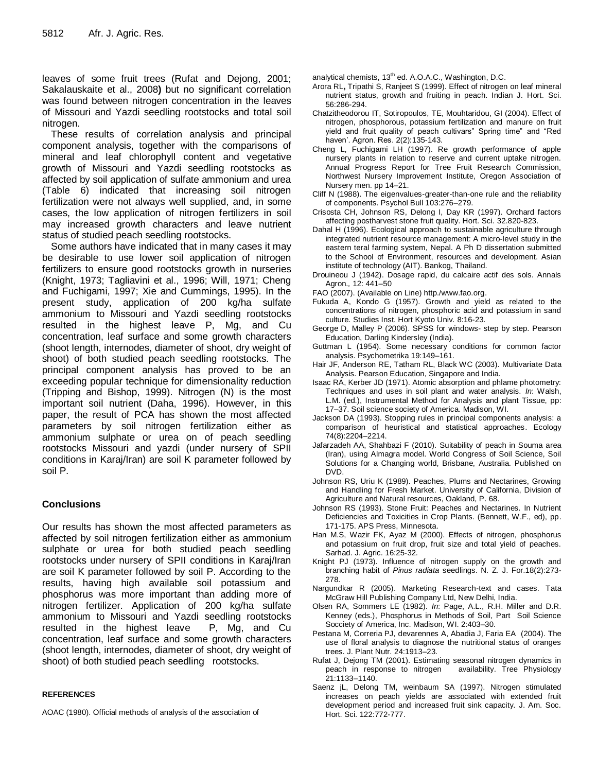leaves of some fruit trees (Rufat and Dejong, 2001; Sakalauskaite et al., 2008**)** but no significant correlation was found between nitrogen concentration in the leaves of Missouri and Yazdi seedling rootstocks and total soil nitrogen.

These results of correlation analysis and principal component analysis, together with the comparisons of mineral and leaf chlorophyll content and vegetative growth of Missouri and Yazdi seedling rootstocks as affected by soil application of sulfate ammonium and urea (Table 6) indicated that increasing soil nitrogen fertilization were not always well supplied, and, in some cases, the low application of nitrogen fertilizers in soil may increased growth characters and leave nutrient status of studied peach seedling rootstocks.

Some authors have indicated that in many cases it may be desirable to use lower soil application of nitrogen fertilizers to ensure good rootstocks growth in nurseries (Knight, 1973; Tagliavini et al., 1996; Will, 1971; Cheng and Fuchigami, 1997; Xie and Cummings, 1995). In the present study, application of 200 kg/ha sulfate ammonium to Missouri and Yazdi seedling rootstocks resulted in the highest leave P, Mg, and Cu concentration, leaf surface and some growth characters (shoot length, internodes, diameter of shoot, dry weight of shoot) of both studied peach seedling rootstocks. The principal component analysis has proved to be an exceeding popular technique for dimensionality reduction (Tripping and Bishop, 1999). Nitrogen (N) is the most important soil nutrient (Daha, 1996). However, in this paper, the result of PCA has shown the most affected parameters by soil nitrogen fertilization either as ammonium sulphate or urea on of peach seedling rootstocks Missouri and yazdi (under nursery of SPII conditions in Karaj/Iran) are soil K parameter followed by soil P.

## **Conclusions**

Our results has shown the most affected parameters as affected by soil nitrogen fertilization either as ammonium sulphate or urea for both studied peach seedling rootstocks under nursery of SPII conditions in Karaj/Iran are soil K parameter followed by soil P. According to the results, having high available soil potassium and phosphorus was more important than adding more of nitrogen fertilizer. Application of 200 kg/ha sulfate ammonium to Missouri and Yazdi seedling rootstocks resulted in the highest leave P, Mg, and Cu concentration, leaf surface and some growth characters (shoot length, internodes, diameter of shoot, dry weight of shoot) of both studied peach seedling rootstocks.

### **REFERENCES**

AOAC (1980). Official methods of analysis of the association of

analytical chemists, 13<sup>th</sup> ed. A.O.A.C., Washington, D.C.

- Arora RL**,** Tripathi S, Ranjeet S (1999). Effect of nitrogen on leaf mineral nutrient status, growth and fruiting in peach. Indian J. Hort. Sci. 56:286-294.
- Chatzitheodorou IT, Sotiropoulos, TE, Mouhtaridou, GI (2004). Effect of nitrogen, phosphorous, potassium fertilization and manure on fruit yield and fruit quality of peach cultivars" Spring time" and "Red haven'. Agron. Res. 2(2):135-143.
- Cheng L, Fuchigami LH (1997). Re growth performance of apple nursery plants in relation to reserve and current uptake nitrogen. Annual Progress Report for Tree Fruit Research Commission, Northwest Nursery Improvement Institute, Oregon Association of Nursery men. pp 14–21.
- Cliff N (1988). The eigenvalues-greater-than-one rule and the reliability of components. Psychol Bull 103:276–279.
- Crisosta CH, Johnson RS, Delong I, Day KR (1997). Orchard factors affecting postharvest stone fruit quality. Hort. Sci. 32.820-823.
- Dahal H (1996). Ecological approach to sustainable agriculture through integrated nutrient resource management: A micro-level study in the eastern teral farming system, Nepal. A Ph D dissertation submitted to the School of Environment, resources and development. Asian institute of technology (AIT). Bankog, Thailand.
- Drouineou J (1942). Dosage rapid, du calcaire actif des sols. Annals Agron.*,* 12: 441–50
- FAO (2007). (Available on Line) http./www.fao.org.
- Fukuda A, Kondo G (1957). Growth and yield as related to the concentrations of nitrogen, phosphoric acid and potassium in sand culture. Studies Inst. Hort Kyoto Univ*.* 8:16-23.
- George D, Malley P (2006). SPSS for windows- step by step. Pearson Education, Darling Kindersley (India).
- Guttman L (1954). Some necessary conditions for common factor analysis. Psychometrika 19:149–161.
- Hair JF, Anderson RE, Tatham RL, Black WC (2003). Multivariate Data Analysis. Pearson Education, Singapore and India.
- Isaac RA, Kerber JD (1971). Atomic absorption and phlame photometry: Techniques and uses in soil plant and water analysis. *In*: Walsh, L.M. (ed.), Instrumental Method for Analysis and plant Tissue, pp: 17–37. Soil science society of America. Madison, WI.
- Jackson DA (1993). Stopping rules in principal components analysis: a comparison of heuristical and statistical approaches. Ecology 74(8):2204–2214.
- Jafarzadeh AA, Shahbazi F (2010). Suitability of peach in Souma area (Iran), using Almagra model. World Congress of Soil Science, Soil Solutions for a Changing world, Brisbane, Australia. Published on DVD.
- Johnson RS, Uriu K (1989). Peaches, Plums and Nectarines, Growing and Handling for Fresh Market. University of California, Division of Agriculture and Natural resources, Oakland, P. 68.
- Johnson RS (1993). Stone Fruit: Peaches and Nectarines. In Nutrient Deficiencies and Toxicities in Crop Plants. (Bennett, W.F., ed), pp. 171-175. APS Press, Minnesota.
- Han M.S, Wazir FK, Ayaz M (2000). Effects of nitrogen, phosphorus and potassium on fruit drop, fruit size and total yield of peaches. Sarhad. J. Agric. 16:25-32.
- Knight PJ (1973). Influence of nitrogen supply on the growth and branching habit of *Pinus radiata* seedlings. N. Z. J. For.18(2):273- 278.
- Nargundkar R (2005). Marketing Research-text and cases. Tata McGraw Hill Publishing Company Ltd, New Delhi, India.
- Olsen RA, Sommers LE (1982). *In*: Page, A.L., R.H. Miller and D.R. Kenney (eds.), Phosphorus in Methods of Soil, Part Soil Science Socciety of America, Inc. Madison, WI. 2:403–30.
- Pestana M, Correria PJ, devarennes A, Abadia J, Faria EA (2004). The use of floral analysis to diagnose the nutritional status of oranges trees. J. Plant Nutr. 24:1913–23.
- Rufat J, Dejong TM (2001). Estimating seasonal nitrogen dynamics in peach in response to nitrogen 21:1133–1140.
- Saenz jL, Delong TM, weinbaum SA (1997). Nitrogen stimulated increases on peach yields are associated with extended fruit development period and increased fruit sink capacity. J. Am. Soc. Hort. Sci. 122:772-777.